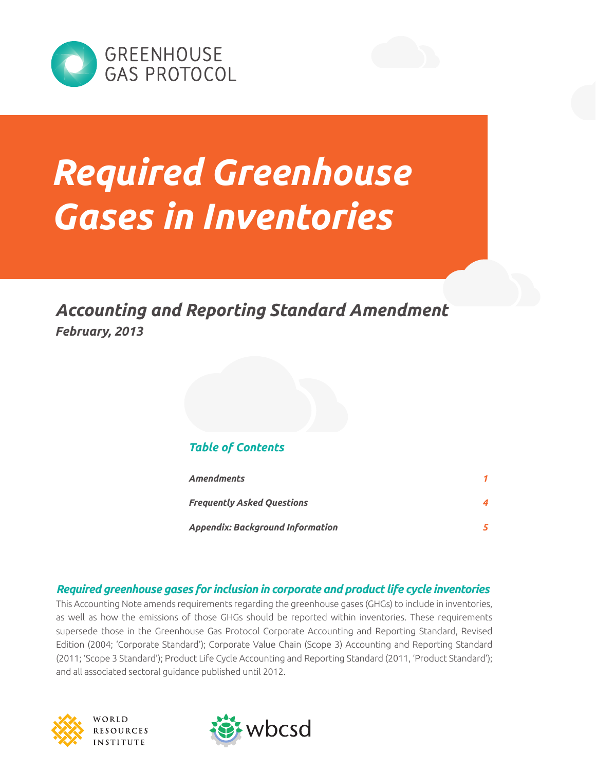



# *Required Greenhouse Gases in Inventories*

*Accounting and Reporting Standard Amendment February, 2013*

#### *Table of Contents*

| <b>Amendments</b>                       |  |
|-----------------------------------------|--|
| <b>Frequently Asked Questions</b>       |  |
| <b>Appendix: Background Information</b> |  |

#### *Required greenhouse gases for inclusion in corporate and product life cycle inventories*

This Accounting Note amends requirements regarding the greenhouse gases (GHGs) to include in inventories, as well as how the emissions of those GHGs should be reported within inventories. These requirements supersede those in the Greenhouse Gas Protocol Corporate Accounting and Reporting Standard, Revised Edition (2004; 'Corporate Standard'); Corporate Value Chain (Scope 3) Accounting and Reporting Standard (2011; 'Scope 3 Standard'); Product Life Cycle Accounting and Reporting Standard (2011, 'Product Standard'); and all associated sectoral guidance published until 2012.



VORLD RESOURCES **STITUTE** 

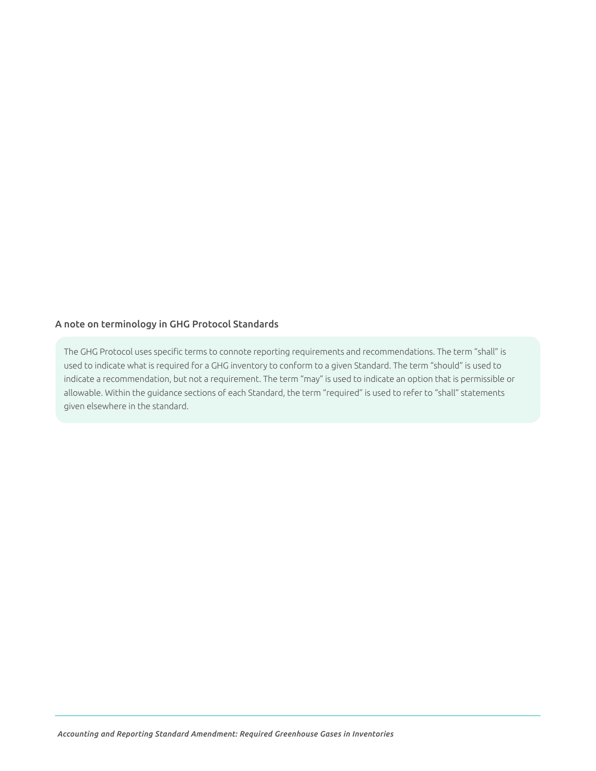#### A note on terminology in GHG Protocol Standards

The GHG Protocol uses specific terms to connote reporting requirements and recommendations. The term "shall" is used to indicate what is required for a GHG inventory to conform to a given Standard. The term "should" is used to indicate a recommendation, but not a requirement. The term "may" is used to indicate an option that is permissible or allowable. Within the guidance sections of each Standard, the term "required" is used to refer to "shall" statements given elsewhere in the standard.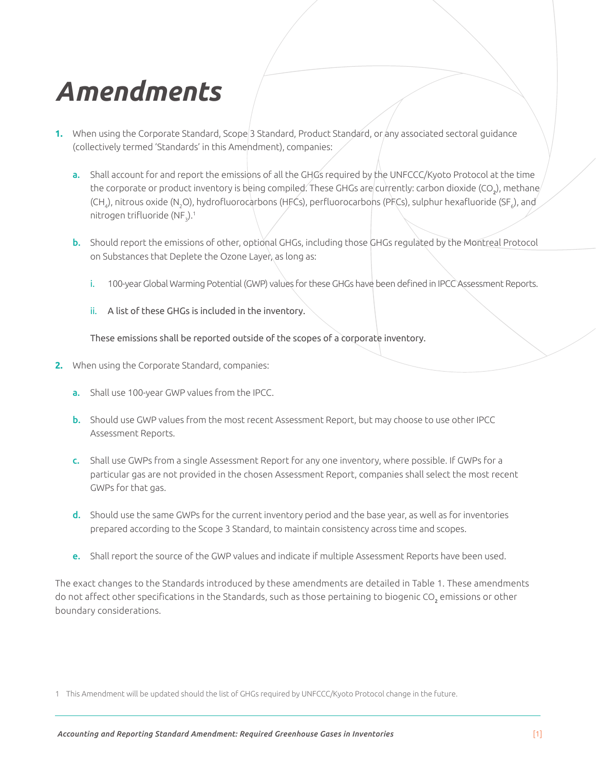### <span id="page-2-0"></span>*Amendments*

- 1. When using the Corporate Standard, Scope<sup>[2]</sup> Standard, Product Standard, or any associated sectoral guidance (collectively termed 'Standards' in this Amendment), companies:
	- a. Shall account for and report the emissions of all the GHGs required by the UNFCCC/Kyoto Protocol at the time the corporate or product inventory is being compiled. These GHGs are currently: carbon dioxide (CO<sub>2</sub>), methane (CH<sub>4</sub>), nitrous oxide (N<sub>2</sub>O), hydrofluorocarbons (HFĆs), perfluorocarbons (PFCs), sulphur hexafluoride (SF<sub>6</sub>), and nitrogen trifluoride (NF $_{\textrm{\tiny{3}}})$ . $^{\textrm{\tiny{1}}}$
	- b. Should report the emissions of other, optional GHGs, including those GHGs regulated by the Montreal Protocol on Substances that Deplete the Ozone Layer, as long as:
		- i. 100-year Global Warming Potential (GWP) values for these GHGs have been defined in IPCC Assessment Reports.
		- ii. A list of these GHGs is included in the inventory.

These emissions shall be reported outside of the scopes of a corporate inventory.

- **2.** When using the Corporate Standard, companies:
	- a. Shall use 100-year GWP values from the IPCC.
	- b. Should use GWP values from the most recent Assessment Report, but may choose to use other IPCC Assessment Reports.
	- c. Shall use GWPs from a single Assessment Report for any one inventory, where possible. If GWPs for a particular gas are not provided in the chosen Assessment Report, companies shall select the most recent GWPs for that gas.
	- d. Should use the same GWPs for the current inventory period and the base year, as well as for inventories prepared according to the Scope 3 Standard, to maintain consistency across time and scopes.
	- e. Shall report the source of the GWP values and indicate if multiple Assessment Reports have been used.

The exact changes to the Standards introduced by these amendments are detailed in Table 1. These amendments do not affect other specifications in the Standards, such as those pertaining to biogenic CO<sub>2</sub> emissions or other boundary considerations.

1 This Amendment will be updated should the list of GHGs required by UNFCCC/Kyoto Protocol change in the future.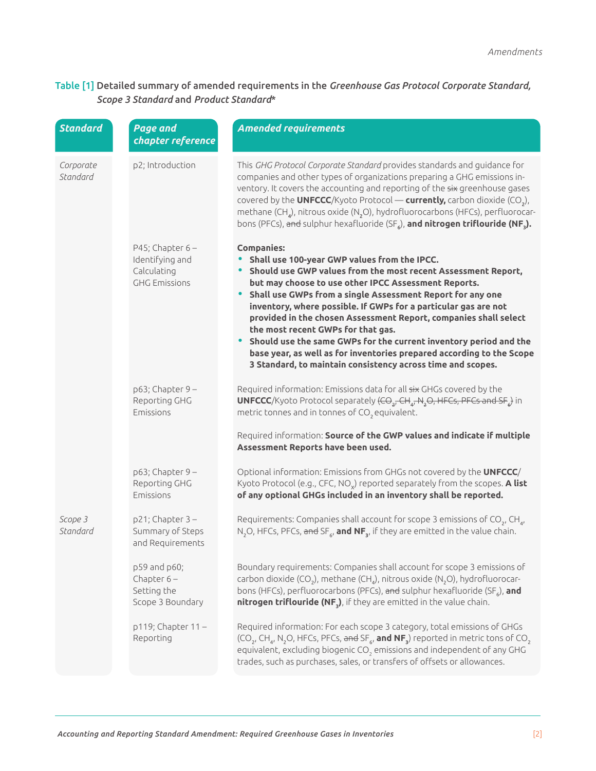#### Table [1] Detailed summary of amended requirements in the *Greenhouse Gas Protocol Corporate Standard, Scope 3 Standard* and *Product Standard*\*

| <b>Standard</b>       | <b>Page and</b><br>chapter reference                                         | <b>Amended requirements</b>                                                                                                                                                                                                                                                                                                                                                                                                                                                                                                                                                                                                                                |
|-----------------------|------------------------------------------------------------------------------|------------------------------------------------------------------------------------------------------------------------------------------------------------------------------------------------------------------------------------------------------------------------------------------------------------------------------------------------------------------------------------------------------------------------------------------------------------------------------------------------------------------------------------------------------------------------------------------------------------------------------------------------------------|
| Corporate<br>Standard | p2; Introduction                                                             | This GHG Protocol Corporate Standard provides standards and guidance for<br>companies and other types of organizations preparing a GHG emissions in-<br>ventory. It covers the accounting and reporting of the six greenhouse gases<br>covered by the UNFCCC/Kyoto Protocol — currently, carbon dioxide $(CO2)$ ,<br>methane (CH <sub>4</sub> ), nitrous oxide (N <sub>2</sub> O), hydrofluorocarbons (HFCs), perfluorocar-<br>bons (PFCs), and sulphur hexafluoride (SF <sub>s</sub> ), and nitrogen triflouride (NF <sub>3</sub> ).                                                                                                                      |
|                       | P45; Chapter $6 -$<br>Identifying and<br>Calculating<br><b>GHG Emissions</b> | <b>Companies:</b><br>• Shall use 100-year GWP values from the IPCC.<br>• Should use GWP values from the most recent Assessment Report,<br>but may choose to use other IPCC Assessment Reports.<br>• Shall use GWPs from a single Assessment Report for any one<br>inventory, where possible. If GWPs for a particular gas are not<br>provided in the chosen Assessment Report, companies shall select<br>the most recent GWPs for that gas.<br>• Should use the same GWPs for the current inventory period and the<br>base year, as well as for inventories prepared according to the Scope<br>3 Standard, to maintain consistency across time and scopes. |
|                       | $p63$ ; Chapter 9 -<br>Reporting GHG<br>Emissions                            | Required information: Emissions data for all six GHGs covered by the<br><b>UNFCCC</b> /Kyoto Protocol separately $(\overline{CO}_{2r}CH_{4r}N_2O, HFCs, PFCs$ and $SF_{6r}$ in<br>metric tonnes and in tonnes of CO <sub>2</sub> equivalent.<br>Required information: Source of the GWP values and indicate if multiple<br>Assessment Reports have been used.                                                                                                                                                                                                                                                                                              |
|                       | $p63$ ; Chapter 9 -<br>Reporting GHG<br>Emissions                            | Optional information: Emissions from GHGs not covered by the UNFCCC/<br>Kyoto Protocol (e.g., CFC, NO <sub>v</sub> ) reported separately from the scopes. A list<br>of any optional GHGs included in an inventory shall be reported.                                                                                                                                                                                                                                                                                                                                                                                                                       |
| Scope 3<br>Standard   | $p21$ ; Chapter 3 -<br>Summary of Steps<br>and Requirements                  | Requirements: Companies shall account for scope 3 emissions of CO <sub>2</sub> , CH <sub>4</sub> ,<br>N <sub>2</sub> O, HFCs, PFCs, and SF <sub>6</sub> , and NF <sub>3</sub> , if they are emitted in the value chain.                                                                                                                                                                                                                                                                                                                                                                                                                                    |
|                       | p59 and p60;<br>Chapter $6-$<br>Setting the<br>Scope 3 Boundary              | Boundary requirements: Companies shall account for scope 3 emissions of<br>carbon dioxide (CO <sub>2</sub> ), methane (CH <sub>4</sub> ), nitrous oxide (N <sub>2</sub> O), hydrofluorocar-<br>bons (HFCs), perfluorocarbons (PFCs), and sulphur hexafluoride (SF <sub>6</sub> ), and<br>nitrogen triflouride (NF3), if they are emitted in the value chain.                                                                                                                                                                                                                                                                                               |
|                       | p119; Chapter 11-<br>Reporting                                               | Required information: For each scope 3 category, total emissions of GHGs<br>(CO <sub>2</sub> , CH <sub>4</sub> , N <sub>2</sub> O, HFCs, PFCs, and SF <sub>6</sub> , and NF <sub>3</sub> ) reported in metric tons of CO <sub>2</sub><br>equivalent, excluding biogenic CO <sub>2</sub> emissions and independent of any GHG<br>trades, such as purchases, sales, or transfers of offsets or allowances.                                                                                                                                                                                                                                                   |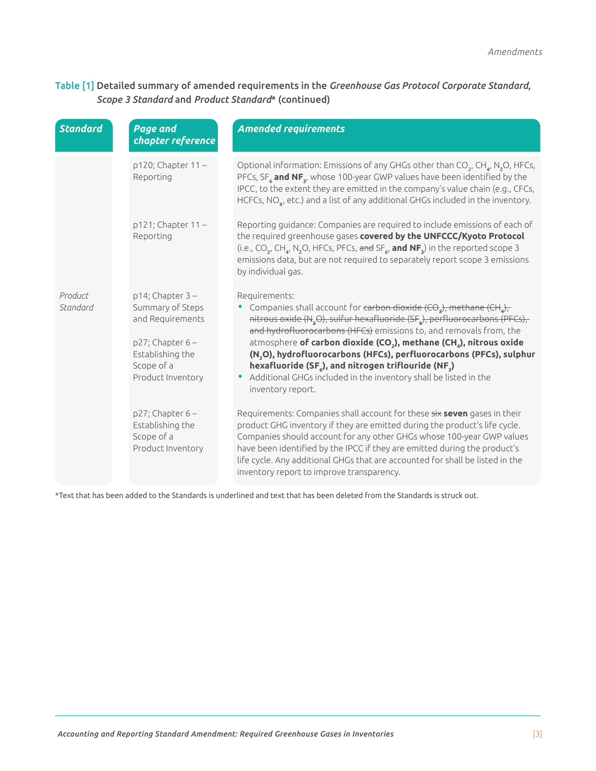#### Table [1] Detailed summary of amended requirements in the *Greenhouse Gas Protocol Corporate Standard, Scope 3 Standard* and *Product Standard*\* (continued)

| <b>Standard</b>     | <b>Page and</b><br>chapter reference                                                                                                      | <b>Amended requirements</b>                                                                                                                                                                                                                                                                                                                                                                                                                                                                                                                                                                                                                                |
|---------------------|-------------------------------------------------------------------------------------------------------------------------------------------|------------------------------------------------------------------------------------------------------------------------------------------------------------------------------------------------------------------------------------------------------------------------------------------------------------------------------------------------------------------------------------------------------------------------------------------------------------------------------------------------------------------------------------------------------------------------------------------------------------------------------------------------------------|
| Product<br>Standard | p120; Chapter 11-<br>Reporting                                                                                                            | Optional information: Emissions of any GHGs other than $CO_2$ , CH <sub>4</sub> , N <sub>2</sub> O, HFCs,<br>PFCs, SF $_{6}$ and NF <sub>3</sub> , whose 100-year GWP values have been identified by the<br>IPCC, to the extent they are emitted in the company's value chain (e.g., CFCs,<br>HCFCs, $NO_x$ , etc.) and a list of any additional GHGs included in the inventory.                                                                                                                                                                                                                                                                           |
|                     | $p121$ ; Chapter $11 -$<br>Reporting                                                                                                      | Reporting guidance: Companies are required to include emissions of each of<br>the required greenhouse gases covered by the UNFCCC/Kyoto Protocol<br>(i.e., CO <sub>2</sub> , CH <sub>a</sub> , N <sub>2</sub> O, HFCs, PFCs, and SF <sub>6</sub> , and NF <sub>3</sub> ) in the reported scope 3<br>emissions data, but are not required to separately report scope 3 emissions<br>by individual gas.                                                                                                                                                                                                                                                      |
|                     | $p14$ ; Chapter 3 -<br>Summary of Steps<br>and Requirements<br>$p27$ ; Chapter 6 -<br>Establishing the<br>Scope of a<br>Product Inventory | Requirements:<br>Companies shall account for <del>carbon dioxide (CO<sub>2</sub>), methane (CH<sub>4</sub>),</del><br>nitrous oxide (N <sub>2</sub> O), sulfur hexafluoride (SF <sub>4</sub> ), perfluorocarbons (PFCs),<br>and hydrofluorocarbons (HFCs) emissions to, and removals from, the<br>atmosphere of carbon dioxide (CO <sub>2</sub> ), methane (CH <sub>4</sub> ), nitrous oxide<br>(N <sub>2</sub> O), hydrofluorocarbons (HFCs), perfluorocarbons (PFCs), sulphur<br>hexafluoride (SF <sub>6</sub> ), and nitrogen triflouride (NF <sub>3</sub> )<br>• Additional GHGs included in the inventory shall be listed in the<br>inventory report. |
|                     | $p27$ ; Chapter 6 -<br>Establishing the<br>Scope of a<br>Product Inventory                                                                | Requirements: Companies shall account for these six seven gases in their<br>product GHG inventory if they are emitted during the product's life cycle.<br>Companies should account for any other GHGs whose 100-year GWP values<br>have been identified by the IPCC if they are emitted during the product's<br>life cycle. Any additional GHGs that are accounted for shall be listed in the<br>inventory report to improve transparency.                                                                                                                                                                                                                 |

\*Text that has been added to the Standards is underlined and text that has been deleted from the Standards is struck out.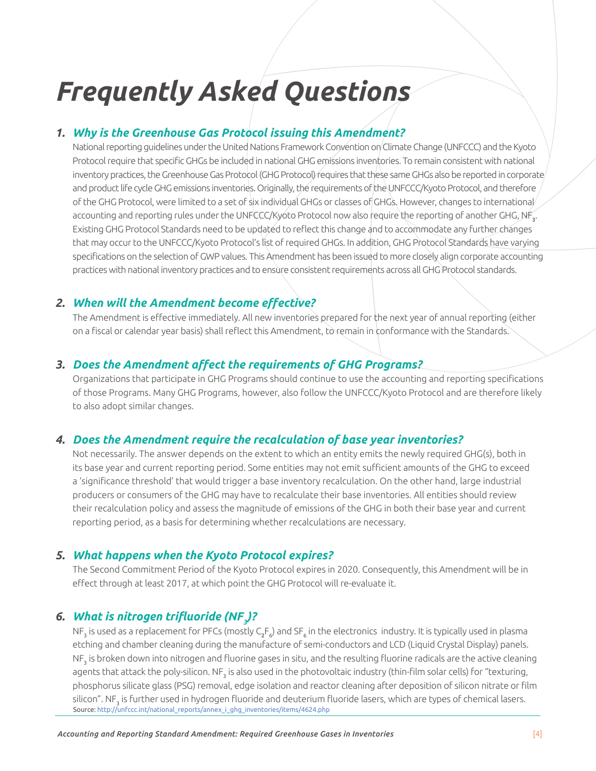### <span id="page-5-0"></span>*Frequently Asked Questions*

#### *1. Why is the Greenhouse Gas Protocol issuing this Amendment?*

National reporting guidelines under the United Nations Framework Convention on Climate Change (UNFCCC) and the Kyoto Protocol require that specific GHGs be included in national GHG emissions inventories. To remain consistent with national inventory practices, the Greenhouse Gas Protocol (GHG Protocol) requires that these same GHGs also be reported in corporate and product life cycle GHG emissions inventories. Originally, the requirements of the UNFCCC/Kyoto Protocol, and therefore of the GHG Protocol, were limited to a set of six individual GHGs or classes of GHGs. However, changes to international accounting and reporting rules under the UNFCCC/Kyóto Protocol now also require the reporting of another GHG, NF $_{\rm 3}^{\rm *}$ . Existing GHG Protocol Standards need to be updated to reflect this change and to accommodate any further changes that may occur to the UNFCCC/Kyoto Protocol's list of required GHGs. In addition, GHG Protocol Standards have varying specifications on the selection of GWP values. This Amendment has been issued to more closely align corporate accounting practices with national inventory practices and to ensure consistent requirements across all GHG Protocol standards.

#### *2. When will the Amendment become effective?*

The Amendment is effective immediately. All new inventories prepared for the next year of annual reporting (either on a fiscal or calendar year basis) shall reflect this Amendment, to remain in conformance with the Standards.

#### *3. Does the Amendment affect the requirements of GHG Programs?*

Organizations that participate in GHG Programs should continue to use the accounting and reporting specifications of those Programs. Many GHG Programs, however, also follow the UNFCCC/Kyoto Protocol and are therefore likely to also adopt similar changes.

#### *4. Does the Amendment require the recalculation of base year inventories?*

Not necessarily. The answer depends on the extent to which an entity emits the newly required GHG(s), both in its base year and current reporting period. Some entities may not emit sufficient amounts of the GHG to exceed a 'significance threshold' that would trigger a base inventory recalculation. On the other hand, large industrial producers or consumers of the GHG may have to recalculate their base inventories. All entities should review their recalculation policy and assess the magnitude of emissions of the GHG in both their base year and current reporting period, as a basis for determining whether recalculations are necessary.

#### *5. What happens when the Kyoto Protocol expires?*

The Second Commitment Period of the Kyoto Protocol expires in 2020. Consequently, this Amendment will be in effect through at least 2017, at which point the GHG Protocol will re-evaluate it.

#### *6. What is nitrogen trifluoride (NF<sup>3</sup> )?*

NF<sub>3</sub> is used as a replacement for PFCs (mostly C<sub>2</sub>F<sub>6</sub>) and SF<sub>6</sub> in the electronics industry. It is typically used in plasma etching and chamber cleaning during the manufacture of semi-conductors and LCD (Liquid Crystal Display) panels. NF $_{\rm_3}$  is broken down into nitrogen and fluorine gases in situ, and the resulting fluorine radicals are the active cleaning agents that attack the poly-silicon. NF<sub>3</sub> is also used in the photovoltaic industry (thin-film solar cells) for "texturing, phosphorus silicate glass (PSG) removal, edge isolation and reactor cleaning after deposition of silicon nitrate or film silicon". NF<sub>3</sub> is further used in hydrogen fluoride and deuterium fluoride lasers, which are types of chemical lasers. Source: [http://unfccc.int/national\\_reports/annex\\_i\\_ghg\\_inventories/items/4624.php](http://unfccc.int/national_reports/annex_i_ghg_inventories/items/4624.php)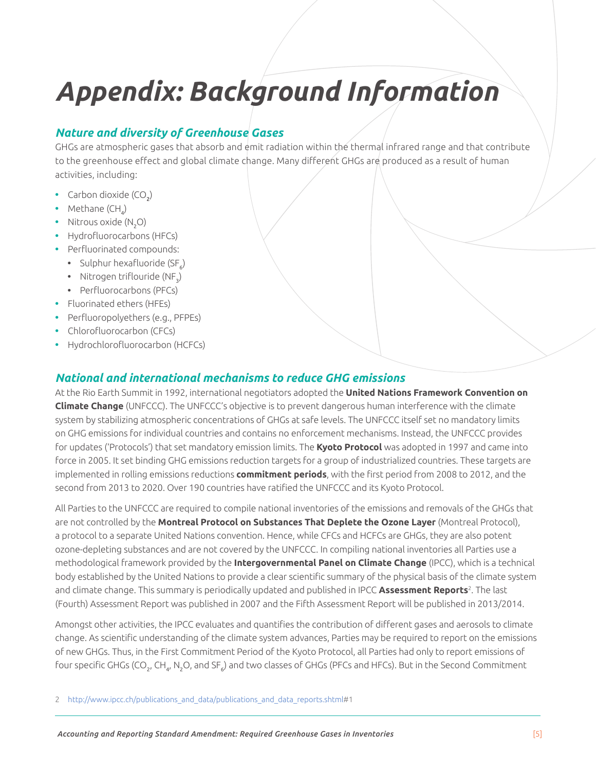## <span id="page-6-0"></span>*Appendix: Background Information*

#### *Nature and diversity of Greenhouse Gases*

GHGs are atmospheric gases that absorb and emit radiation within the thermal infrared range and that contribute to the greenhouse effect and global climate change. Many different GHGs are produced as a result of human activities, including:

- Carbon dioxide (CO<sub>2</sub>)
- Methane (CH<sub>4</sub>)
- Nitrous oxide (N<sub>2</sub>O)
- **•** Hydrofluorocarbons (HFCs)
- **•** Perfluorinated compounds:
	- Sulphur hexafluoride (SF<sub>6</sub>)
	- Nitrogen triflouride (NF<sub>3</sub>)
	- **•** Perfluorocarbons (PFCs)
- **•** Fluorinated ethers (HFEs)
- **•** Perfluoropolyethers (e.g., PFPEs)
- **•** Chlorofluorocarbon (CFCs)
- **•** Hydrochlorofluorocarbon (HCFCs)

#### *National and international mechanisms to reduce GHG emissions*

At the Rio Earth Summit in 1992, international negotiators adopted the **United Nations Framework Convention on Climate Change** (UNFCCC). The UNFCCC's objective is to prevent dangerous human interference with the climate system by stabilizing atmospheric concentrations of GHGs at safe levels. The UNFCCC itself set no mandatory limits on GHG emissions for individual countries and contains no enforcement mechanisms. Instead, the UNFCCC provides for updates ('Protocols') that set mandatory emission limits. The **Kyoto Protocol** was adopted in 1997 and came into force in 2005. It set binding GHG emissions reduction targets for a group of industrialized countries. These targets are implemented in rolling emissions reductions **commitment periods**, with the first period from 2008 to 2012, and the second from 2013 to 2020. Over 190 countries have ratified the UNFCCC and its Kyoto Protocol.

All Parties to the UNFCCC are required to compile national inventories of the emissions and removals of the GHGs that are not controlled by the **Montreal Protocol on Substances That Deplete the Ozone Layer** (Montreal Protocol), a protocol to a separate United Nations convention. Hence, while CFCs and HCFCs are GHGs, they are also potent ozone-depleting substances and are not covered by the UNFCCC. In compiling national inventories all Parties use a methodological framework provided by the **Intergovernmental Panel on Climate Change** (IPCC), which is a technical body established by the United Nations to provide a clear scientific summary of the physical basis of the climate system and climate change. This summary is periodically updated and published in IPCC **Assessment Reports**<sup>2</sup> . The last (Fourth) Assessment Report was published in 2007 and the Fifth Assessment Report will be published in 2013/2014.

Amongst other activities, the IPCC evaluates and quantifies the contribution of different gases and aerosols to climate change. As scientific understanding of the climate system advances, Parties may be required to report on the emissions of new GHGs. Thus, in the First Commitment Period of the Kyoto Protocol, all Parties had only to report emissions of four specific GHGs (CO<sub>2</sub>, CH<sub>4</sub>, N<sub>2</sub>O, and SF<sub>6</sub>) and two classes of GHGs (PFCs and HFCs). But in the Second Commitment

2 http://www.ipcc.ch/publications and data/publications and data reports.shtml#1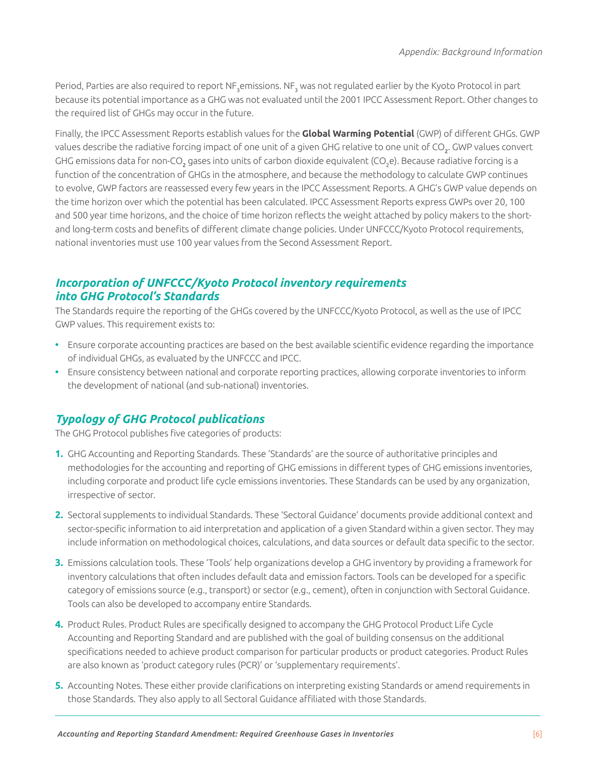Period, Parties are also required to report NF<sub>3</sub>emissions. NF<sub>3</sub> was not regulated earlier by the Kyoto Protocol in part because its potential importance as a GHG was not evaluated until the 2001 IPCC Assessment Report. Other changes to the required list of GHGs may occur in the future.

Finally, the IPCC Assessment Reports establish values for the **Global Warming Potential** (GWP) of different GHGs. GWP values describe the radiative forcing impact of one unit of a given GHG relative to one unit of CO<sub>2</sub>. GWP values convert GHG emissions data for non-CO<sub>2</sub> gases into units of carbon dioxide equivalent (CO<sub>2</sub>e). Because radiative forcing is a function of the concentration of GHGs in the atmosphere, and because the methodology to calculate GWP continues to evolve, GWP factors are reassessed every few years in the IPCC Assessment Reports. A GHG's GWP value depends on the time horizon over which the potential has been calculated. IPCC Assessment Reports express GWPs over 20, 100 and 500 year time horizons, and the choice of time horizon reflects the weight attached by policy makers to the shortand long-term costs and benefits of different climate change policies. Under UNFCCC/Kyoto Protocol requirements, national inventories must use 100 year values from the Second Assessment Report.

#### *Incorporation of UNFCCC/Kyoto Protocol inventory requirements into GHG Protocol's Standards*

The Standards require the reporting of the GHGs covered by the UNFCCC/Kyoto Protocol, as well as the use of IPCC GWP values. This requirement exists to:

- **•** Ensure corporate accounting practices are based on the best available scientific evidence regarding the importance of individual GHGs, as evaluated by the UNFCCC and IPCC.
- **•** Ensure consistency between national and corporate reporting practices, allowing corporate inventories to inform the development of national (and sub-national) inventories.

#### *Typology of GHG Protocol publications*

The GHG Protocol publishes five categories of products:

- **1.** GHG Accounting and Reporting Standards. These 'Standards' are the source of authoritative principles and methodologies for the accounting and reporting of GHG emissions in different types of GHG emissions inventories, including corporate and product life cycle emissions inventories. These Standards can be used by any organization, irrespective of sector.
- **2.** Sectoral supplements to individual Standards. These 'Sectoral Guidance' documents provide additional context and sector-specific information to aid interpretation and application of a given Standard within a given sector. They may include information on methodological choices, calculations, and data sources or default data specific to the sector.
- **3.** Emissions calculation tools. These 'Tools' help organizations develop a GHG inventory by providing a framework for inventory calculations that often includes default data and emission factors. Tools can be developed for a specific category of emissions source (e.g., transport) or sector (e.g., cement), often in conjunction with Sectoral Guidance. Tools can also be developed to accompany entire Standards.
- **4.** Product Rules. Product Rules are specifically designed to accompany the GHG Protocol Product Life Cycle Accounting and Reporting Standard and are published with the goal of building consensus on the additional specifications needed to achieve product comparison for particular products or product categories. Product Rules are also known as 'product category rules (PCR)' or 'supplementary requirements'.
- **5.** Accounting Notes. These either provide clarifications on interpreting existing Standards or amend requirements in those Standards. They also apply to all Sectoral Guidance affiliated with those Standards.